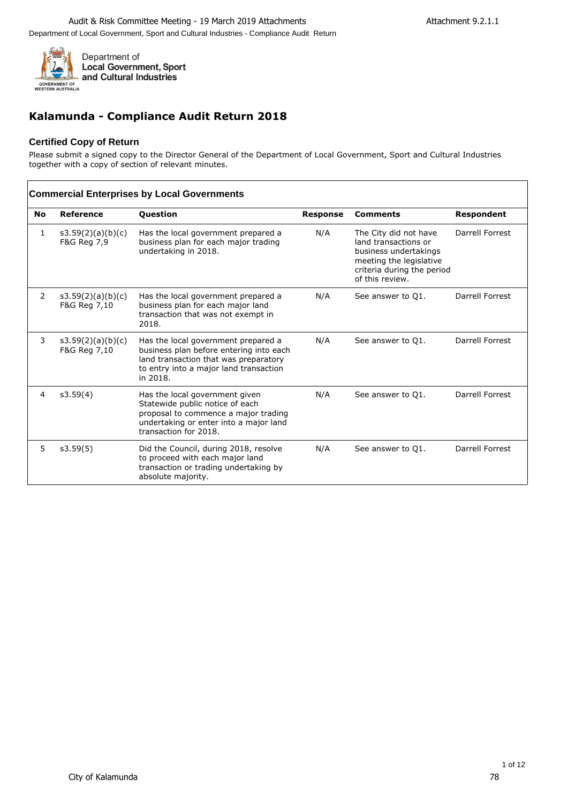

# **Kalamunda - Compliance Audit Return 2018**

## **Certified Copy of Return**

Please submit a signed copy to the Director General of the Department of Local Government, Sport and Cultural Industries together with a copy of section of relevant minutes.

|                |                                   | <b>Commercial Enterprises by Local Governments</b>                                                                                                                            |                 |                                                                                                                                                    |                 |
|----------------|-----------------------------------|-------------------------------------------------------------------------------------------------------------------------------------------------------------------------------|-----------------|----------------------------------------------------------------------------------------------------------------------------------------------------|-----------------|
| <b>No</b>      | Reference                         | <b>Question</b>                                                                                                                                                               | <b>Response</b> | <b>Comments</b>                                                                                                                                    | Respondent      |
| 1              | s3.59(2)(a)(b)(c)<br>F&G Reg 7,9  | Has the local government prepared a<br>business plan for each major trading<br>undertaking in 2018.                                                                           | N/A             | The City did not have<br>land transactions or<br>business undertakings<br>meeting the legislative<br>criteria during the period<br>of this review. | Darrell Forrest |
| 2              | s3.59(2)(a)(b)(c)<br>F&G Reg 7,10 | Has the local government prepared a<br>business plan for each major land<br>transaction that was not exempt in<br>2018.                                                       | N/A             | See answer to Q1.                                                                                                                                  | Darrell Forrest |
| 3              | s3.59(2)(a)(b)(c)<br>F&G Reg 7,10 | Has the local government prepared a<br>business plan before entering into each<br>land transaction that was preparatory<br>to entry into a major land transaction<br>in 2018. | N/A             | See answer to Q1.                                                                                                                                  | Darrell Forrest |
| $\overline{4}$ | s3.59(4)                          | Has the local government given<br>Statewide public notice of each<br>proposal to commence a major trading<br>undertaking or enter into a major land<br>transaction for 2018.  | N/A             | See answer to Q1.                                                                                                                                  | Darrell Forrest |
| 5              | s3.59(5)                          | Did the Council, during 2018, resolve<br>to proceed with each major land<br>transaction or trading undertaking by<br>absolute majority.                                       | N/A             | See answer to Q1.                                                                                                                                  | Darrell Forrest |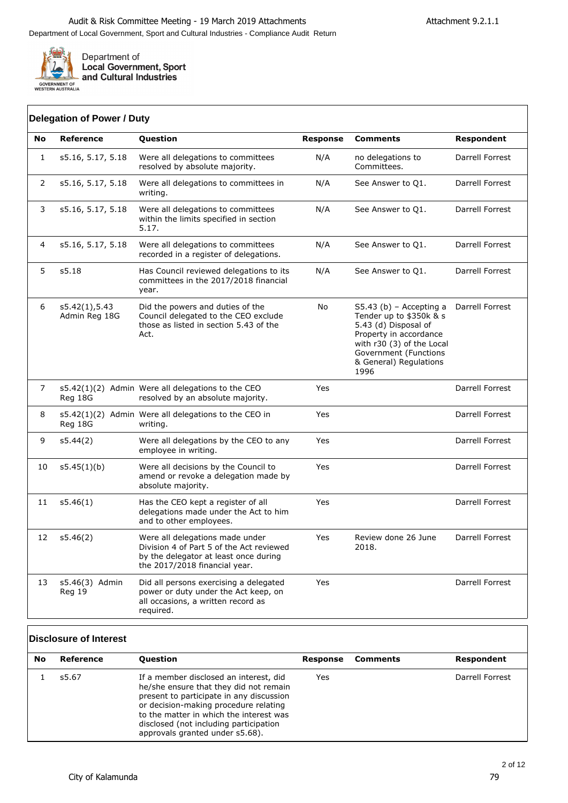

**Local Government, Sport<br>and Cultural Industries** 

## **Delegation of Power / Duty**

| No             | <b>Reference</b>               | Question                                                                                                                                              | <b>Response</b> | <b>Comments</b>                                                                                                                                                                                | Respondent             |
|----------------|--------------------------------|-------------------------------------------------------------------------------------------------------------------------------------------------------|-----------------|------------------------------------------------------------------------------------------------------------------------------------------------------------------------------------------------|------------------------|
| $\mathbf{1}$   | s5.16, 5.17, 5.18              | Were all delegations to committees<br>resolved by absolute majority.                                                                                  | N/A             | no delegations to<br>Committees.                                                                                                                                                               | <b>Darrell Forrest</b> |
| 2              | s5.16, 5.17, 5.18              | Were all delegations to committees in<br>writing.                                                                                                     | N/A             | See Answer to Q1.                                                                                                                                                                              | Darrell Forrest        |
| 3              | s5.16, 5.17, 5.18              | Were all delegations to committees<br>within the limits specified in section<br>5.17.                                                                 | N/A             | See Answer to Q1.                                                                                                                                                                              | Darrell Forrest        |
| $\overline{4}$ | s5.16, 5.17, 5.18              | Were all delegations to committees<br>recorded in a register of delegations.                                                                          | N/A             | See Answer to Q1.                                                                                                                                                                              | Darrell Forrest        |
| 5              | s5.18                          | Has Council reviewed delegations to its<br>committees in the 2017/2018 financial<br>year.                                                             | N/A             | See Answer to Q1.                                                                                                                                                                              | Darrell Forrest        |
| 6              | s5.42(1),5.43<br>Admin Reg 18G | Did the powers and duties of the<br>Council delegated to the CEO exclude<br>those as listed in section 5.43 of the<br>Act.                            | No              | $S5.43$ (b) – Accepting a<br>Tender up to \$350k & s<br>5.43 (d) Disposal of<br>Property in accordance<br>with r30 (3) of the Local<br>Government (Functions<br>& General) Regulations<br>1996 | Darrell Forrest        |
| 7              | Reg 18G                        | s5.42(1)(2) Admin Were all delegations to the CEO<br>resolved by an absolute majority.                                                                | Yes             |                                                                                                                                                                                                | Darrell Forrest        |
| 8              | Reg 18G                        | $s5.42(1)(2)$ Admin Were all delegations to the CEO in<br>writing.                                                                                    | Yes             |                                                                                                                                                                                                | Darrell Forrest        |
| 9              | s5.44(2)                       | Were all delegations by the CEO to any<br>employee in writing.                                                                                        | Yes             |                                                                                                                                                                                                | Darrell Forrest        |
| 10             | s5.45(1)(b)                    | Were all decisions by the Council to<br>amend or revoke a delegation made by<br>absolute majority.                                                    | Yes             |                                                                                                                                                                                                | Darrell Forrest        |
| 11             | s5.46(1)                       | Has the CEO kept a register of all<br>delegations made under the Act to him<br>and to other employees.                                                | Yes             |                                                                                                                                                                                                | Darrell Forrest        |
| 12             | s5.46(2)                       | Were all delegations made under<br>Division 4 of Part 5 of the Act reviewed<br>by the delegator at least once during<br>the 2017/2018 financial year. | Yes             | Review done 26 June<br>2018.                                                                                                                                                                   | Darrell Forrest        |
| 13             | s5.46(3) Admin<br>Reg 19       | Did all persons exercising a delegated<br>power or duty under the Act keep, on<br>all occasions, a written record as<br>required.                     | Yes             |                                                                                                                                                                                                | Darrell Forrest        |

## **Disclosure of Interest**

| No | Reference | <b>Question</b>                                                                                                                                                                                                                                                                               | Response | <b>Comments</b> | Respondent      |
|----|-----------|-----------------------------------------------------------------------------------------------------------------------------------------------------------------------------------------------------------------------------------------------------------------------------------------------|----------|-----------------|-----------------|
|    | s5.67     | If a member disclosed an interest, did<br>he/she ensure that they did not remain<br>present to participate in any discussion<br>or decision-making procedure relating<br>to the matter in which the interest was<br>disclosed (not including participation<br>approvals granted under s5.68). | Yes      |                 | Darrell Forrest |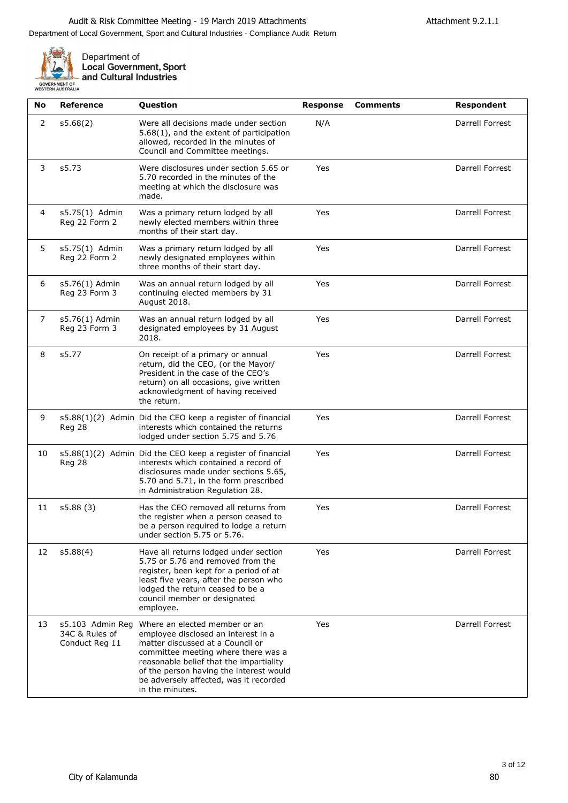

| No | <b>Reference</b>                                     | <b>Question</b>                                                                                                                                                                                                                                                                                    | <b>Response</b> | <b>Comments</b> | Respondent             |
|----|------------------------------------------------------|----------------------------------------------------------------------------------------------------------------------------------------------------------------------------------------------------------------------------------------------------------------------------------------------------|-----------------|-----------------|------------------------|
| 2  | s5.68(2)                                             | Were all decisions made under section<br>5.68(1), and the extent of participation<br>allowed, recorded in the minutes of<br>Council and Committee meetings.                                                                                                                                        | N/A             |                 | Darrell Forrest        |
| 3  | s5.73                                                | Were disclosures under section 5.65 or<br>5.70 recorded in the minutes of the<br>meeting at which the disclosure was<br>made.                                                                                                                                                                      | Yes             |                 | Darrell Forrest        |
| 4  | s5.75(1) Admin<br>Reg 22 Form 2                      | Was a primary return lodged by all<br>newly elected members within three<br>months of their start day.                                                                                                                                                                                             | Yes             |                 | Darrell Forrest        |
| 5  | s5.75(1) Admin<br>Reg 22 Form 2                      | Was a primary return lodged by all<br>newly designated employees within<br>three months of their start day.                                                                                                                                                                                        | Yes             |                 | Darrell Forrest        |
| 6  | s5.76(1) Admin<br>Reg 23 Form 3                      | Was an annual return lodged by all<br>continuing elected members by 31<br>August 2018.                                                                                                                                                                                                             | Yes             |                 | Darrell Forrest        |
| 7  | s5.76(1) Admin<br>Reg 23 Form 3                      | Was an annual return lodged by all<br>designated employees by 31 August<br>2018.                                                                                                                                                                                                                   | Yes             |                 | Darrell Forrest        |
| 8  | s5.77                                                | On receipt of a primary or annual<br>return, did the CEO, (or the Mayor/<br>President in the case of the CEO's<br>return) on all occasions, give written<br>acknowledgment of having received<br>the return.                                                                                       | Yes             |                 | <b>Darrell Forrest</b> |
| 9  | Reg 28                                               | s5.88(1)(2) Admin Did the CEO keep a register of financial<br>interests which contained the returns<br>lodged under section 5.75 and 5.76                                                                                                                                                          | Yes             |                 | Darrell Forrest        |
| 10 | Reg 28                                               | s5.88(1)(2) Admin Did the CEO keep a register of financial<br>interests which contained a record of<br>disclosures made under sections 5.65,<br>5.70 and 5.71, in the form prescribed<br>in Administration Regulation 28.                                                                          | Yes             |                 | Darrell Forrest        |
| 11 | s5.88 (3)                                            | Has the CEO removed all returns from<br>the register when a person ceased to<br>be a person required to lodge a return<br>under section 5.75 or 5.76.                                                                                                                                              | Yes             |                 | Darrell Forrest        |
| 12 | s5.88(4)                                             | Have all returns lodged under section<br>5.75 or 5.76 and removed from the<br>register, been kept for a period of at<br>least five years, after the person who<br>lodged the return ceased to be a<br>council member or designated<br>employee.                                                    | Yes             |                 | Darrell Forrest        |
| 13 | s5.103 Admin Reg<br>34C & Rules of<br>Conduct Reg 11 | Where an elected member or an<br>employee disclosed an interest in a<br>matter discussed at a Council or<br>committee meeting where there was a<br>reasonable belief that the impartiality<br>of the person having the interest would<br>be adversely affected, was it recorded<br>in the minutes. | Yes             |                 | Darrell Forrest        |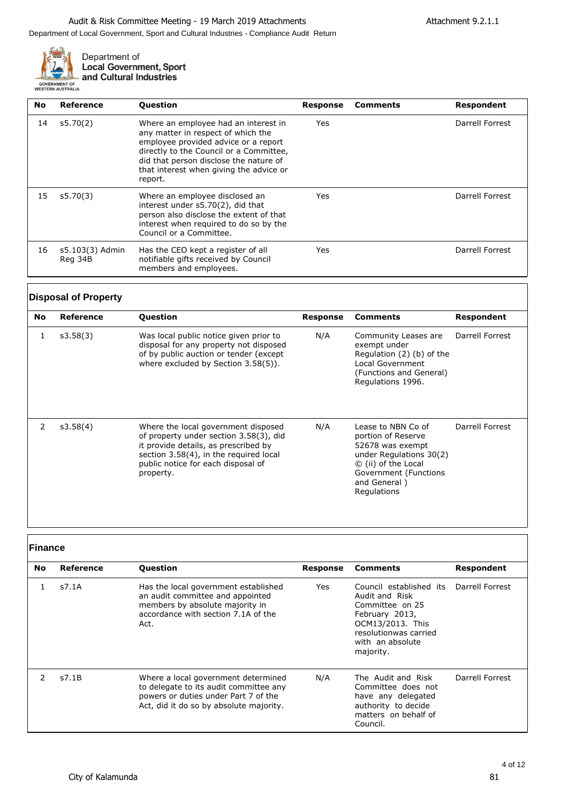

| <b>No</b> | Reference                  | <b>Question</b>                                                                                                                                                                                                                                               | <b>Response</b> | <b>Comments</b> | Respondent      |
|-----------|----------------------------|---------------------------------------------------------------------------------------------------------------------------------------------------------------------------------------------------------------------------------------------------------------|-----------------|-----------------|-----------------|
| 14        | s5.70(2)                   | Where an employee had an interest in<br>any matter in respect of which the<br>employee provided advice or a report<br>directly to the Council or a Committee,<br>did that person disclose the nature of<br>that interest when giving the advice or<br>report. | Yes             |                 | Darrell Forrest |
| 15        | s5.70(3)                   | Where an employee disclosed an<br>interest under s5.70(2), did that<br>person also disclose the extent of that<br>interest when required to do so by the<br>Council or a Committee.                                                                           | Yes             |                 | Darrell Forrest |
| 16        | s5.103(3) Admin<br>Reg 34B | Has the CEO kept a register of all<br>notifiable gifts received by Council<br>members and employees.                                                                                                                                                          | Yes             |                 | Darrell Forrest |

## **Disposal of Property**

| <b>No</b> | Reference | <b>Question</b>                                                                                                                                                                                                    | Response | Comments                                                                                                                                                               | Respondent      |
|-----------|-----------|--------------------------------------------------------------------------------------------------------------------------------------------------------------------------------------------------------------------|----------|------------------------------------------------------------------------------------------------------------------------------------------------------------------------|-----------------|
| 1         | s3.58(3)  | Was local public notice given prior to<br>disposal for any property not disposed<br>of by public auction or tender (except<br>where excluded by Section 3.58(5)).                                                  | N/A      | Community Leases are<br>exempt under<br>Regulation (2) (b) of the<br>Local Government<br>(Functions and General)<br>Regulations 1996.                                  | Darrell Forrest |
| 2         | s3.58(4)  | Where the local government disposed<br>of property under section 3.58(3), did<br>it provide details, as prescribed by<br>section 3.58(4), in the required local<br>public notice for each disposal of<br>property. | N/A      | Lease to NBN Co of<br>portion of Reserve<br>52678 was exempt<br>under Regulations 30(2)<br>© (ii) of the Local<br>Government (Functions<br>and General)<br>Regulations | Darrell Forrest |

**Finance**

| No. | Reference | <b>Ouestion</b>                                                                                                                                                  | <b>Response</b> | <b>Comments</b>                                                                                                                                                              | Respondent      |
|-----|-----------|------------------------------------------------------------------------------------------------------------------------------------------------------------------|-----------------|------------------------------------------------------------------------------------------------------------------------------------------------------------------------------|-----------------|
|     | s7.1A     | Has the local government established<br>an audit committee and appointed<br>members by absolute majority in<br>accordance with section 7.1A of the<br>Act.       | Yes             | Council established its Darrell Forrest<br>Audit and Risk<br>Committee on 25<br>February 2013,<br>OCM13/2013. This<br>resolutionwas carried<br>with an absolute<br>majority. |                 |
| 2   | s7.1B     | Where a local government determined<br>to delegate to its audit committee any<br>powers or duties under Part 7 of the<br>Act, did it do so by absolute majority. | N/A             | The Audit and Risk<br>Committee does not<br>have any delegated<br>authority to decide<br>matters on behalf of<br>Council.                                                    | Darrell Forrest |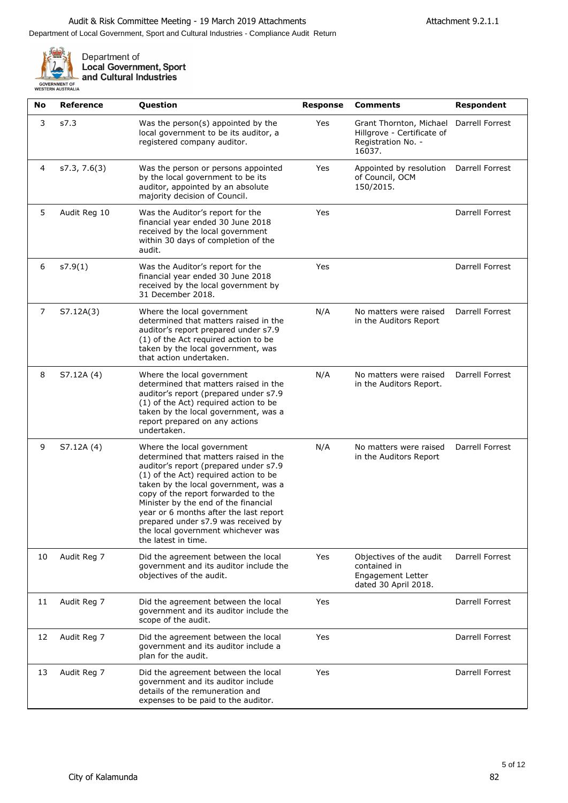

| No | <b>Reference</b> | Question                                                                                                                                                                                                                                                                                                                                                                                                                   | <b>Response</b> | <b>Comments</b>                                                                             | Respondent             |
|----|------------------|----------------------------------------------------------------------------------------------------------------------------------------------------------------------------------------------------------------------------------------------------------------------------------------------------------------------------------------------------------------------------------------------------------------------------|-----------------|---------------------------------------------------------------------------------------------|------------------------|
| 3  | s7.3             | Was the person(s) appointed by the<br>local government to be its auditor, a<br>registered company auditor.                                                                                                                                                                                                                                                                                                                 | Yes             | Grant Thornton, Michael<br>Hillgrove - Certificate of<br>Registration No. -<br>16037.       | Darrell Forrest        |
| 4  | s7.3, 7.6(3)     | Was the person or persons appointed<br>by the local government to be its<br>auditor, appointed by an absolute<br>majority decision of Council.                                                                                                                                                                                                                                                                             | Yes             | Appointed by resolution<br>of Council, OCM<br>150/2015.                                     | Darrell Forrest        |
| 5  | Audit Reg 10     | Was the Auditor's report for the<br>financial year ended 30 June 2018<br>received by the local government<br>within 30 days of completion of the<br>audit.                                                                                                                                                                                                                                                                 | Yes             |                                                                                             | Darrell Forrest        |
| 6  | s7.9(1)          | Was the Auditor's report for the<br>financial year ended 30 June 2018<br>received by the local government by<br>31 December 2018.                                                                                                                                                                                                                                                                                          | Yes             |                                                                                             | Darrell Forrest        |
| 7  | S7.12A(3)        | Where the local government<br>determined that matters raised in the<br>auditor's report prepared under s7.9<br>(1) of the Act required action to be<br>taken by the local government, was<br>that action undertaken.                                                                                                                                                                                                       | N/A             | No matters were raised<br>in the Auditors Report                                            | <b>Darrell Forrest</b> |
| 8  | S7.12A (4)       | Where the local government<br>determined that matters raised in the<br>auditor's report (prepared under s7.9<br>(1) of the Act) required action to be<br>taken by the local government, was a<br>report prepared on any actions<br>undertaken.                                                                                                                                                                             | N/A             | No matters were raised<br>in the Auditors Report.                                           | Darrell Forrest        |
| 9  | S7.12A (4)       | Where the local government<br>determined that matters raised in the<br>auditor's report (prepared under s7.9<br>(1) of the Act) required action to be<br>taken by the local government, was a<br>copy of the report forwarded to the<br>Minister by the end of the financial<br>year or 6 months after the last report<br>prepared under s7.9 was received by<br>the local government whichever was<br>the latest in time. | N/A             | No matters were raised<br>in the Auditors Report                                            | Darrell Forrest        |
| 10 | Audit Reg 7      | Did the agreement between the local<br>government and its auditor include the<br>objectives of the audit.                                                                                                                                                                                                                                                                                                                  | Yes             | Objectives of the audit<br>contained in<br><b>Engagement Letter</b><br>dated 30 April 2018. | Darrell Forrest        |
| 11 | Audit Reg 7      | Did the agreement between the local<br>government and its auditor include the<br>scope of the audit.                                                                                                                                                                                                                                                                                                                       | Yes             |                                                                                             | Darrell Forrest        |
| 12 | Audit Reg 7      | Did the agreement between the local<br>government and its auditor include a<br>plan for the audit.                                                                                                                                                                                                                                                                                                                         | Yes             |                                                                                             | Darrell Forrest        |
| 13 | Audit Reg 7      | Did the agreement between the local<br>government and its auditor include<br>details of the remuneration and<br>expenses to be paid to the auditor.                                                                                                                                                                                                                                                                        | Yes             |                                                                                             | Darrell Forrest        |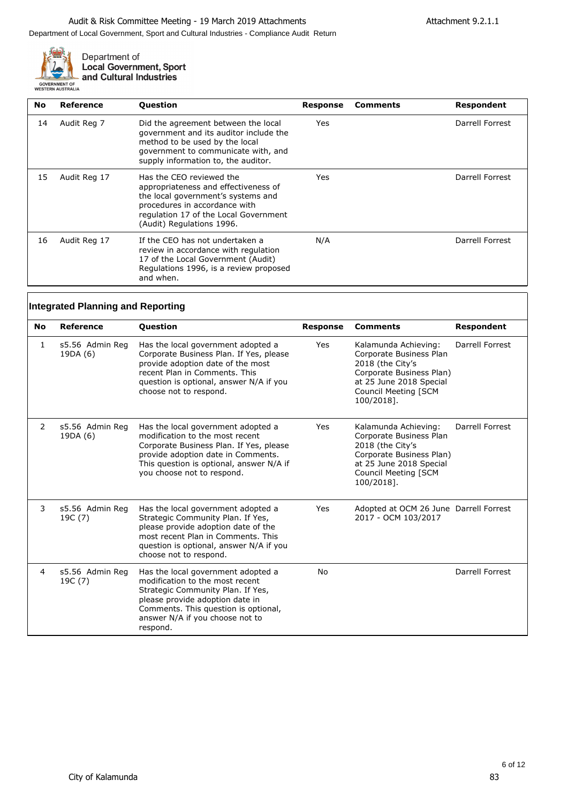

| No | Reference    | <b>Question</b>                                                                                                                                                                                               | Response | <b>Comments</b> | Respondent      |
|----|--------------|---------------------------------------------------------------------------------------------------------------------------------------------------------------------------------------------------------------|----------|-----------------|-----------------|
| 14 | Audit Reg 7  | Did the agreement between the local<br>government and its auditor include the<br>method to be used by the local<br>government to communicate with, and<br>supply information to, the auditor.                 | Yes      |                 | Darrell Forrest |
| 15 | Audit Reg 17 | Has the CEO reviewed the<br>appropriateness and effectiveness of<br>the local government's systems and<br>procedures in accordance with<br>regulation 17 of the Local Government<br>(Audit) Regulations 1996. | Yes      |                 | Darrell Forrest |
| 16 | Audit Reg 17 | If the CEO has not undertaken a<br>review in accordance with regulation<br>17 of the Local Government (Audit)<br>Regulations 1996, is a review proposed<br>and when.                                          | N/A      |                 | Darrell Forrest |

|                | <b>Integrated Planning and Reporting</b> |                                                                                                                                                                                                                                      |                 |                                                                                                                                                                  |                 |
|----------------|------------------------------------------|--------------------------------------------------------------------------------------------------------------------------------------------------------------------------------------------------------------------------------------|-----------------|------------------------------------------------------------------------------------------------------------------------------------------------------------------|-----------------|
| <b>No</b>      | Reference                                | <b>Question</b>                                                                                                                                                                                                                      | <b>Response</b> | <b>Comments</b>                                                                                                                                                  | Respondent      |
| 1              | s5.56 Admin Reg<br>19DA (6)              | Has the local government adopted a<br>Corporate Business Plan. If Yes, please<br>provide adoption date of the most<br>recent Plan in Comments. This<br>question is optional, answer N/A if you<br>choose not to respond.             | Yes             | Kalamunda Achieving:<br>Corporate Business Plan<br>2018 (the City's<br>Corporate Business Plan)<br>at 25 June 2018 Special<br>Council Meeting [SCM<br>100/2018]. | Darrell Forrest |
| $\overline{2}$ | s5.56 Admin Reg<br>19DA (6)              | Has the local government adopted a<br>modification to the most recent<br>Corporate Business Plan. If Yes, please<br>provide adoption date in Comments.<br>This question is optional, answer N/A if<br>you choose not to respond.     | Yes             | Kalamunda Achieving:<br>Corporate Business Plan<br>2018 (the City's<br>Corporate Business Plan)<br>at 25 June 2018 Special<br>Council Meeting [SCM<br>100/2018]. | Darrell Forrest |
| 3              | s5.56 Admin Reg<br>19C (7)               | Has the local government adopted a<br>Strategic Community Plan. If Yes,<br>please provide adoption date of the<br>most recent Plan in Comments. This<br>question is optional, answer N/A if you<br>choose not to respond.            | Yes             | Adopted at OCM 26 June Darrell Forrest<br>2017 - OCM 103/2017                                                                                                    |                 |
| 4              | s5.56 Admin Reg<br>19C (7)               | Has the local government adopted a<br>modification to the most recent<br>Strategic Community Plan. If Yes,<br>please provide adoption date in<br>Comments. This question is optional,<br>answer N/A if you choose not to<br>respond. | No              |                                                                                                                                                                  | Darrell Forrest |

٦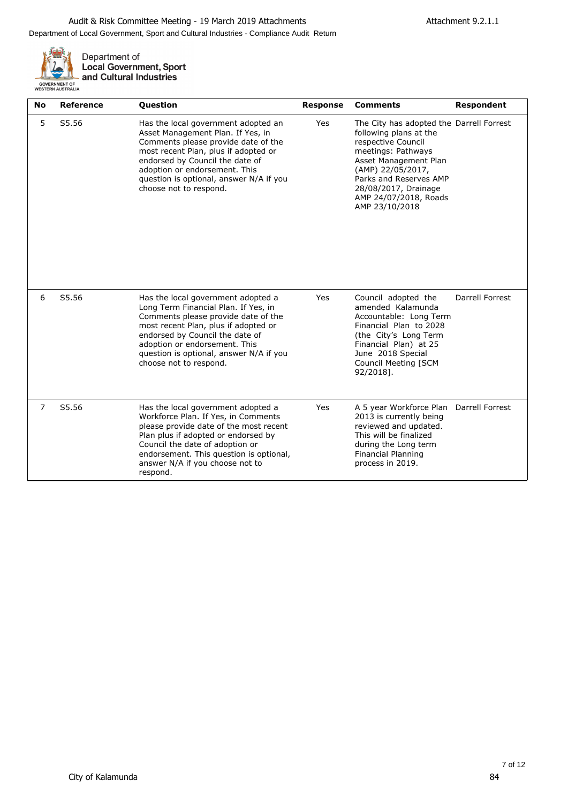

| <b>No</b> | <b>Reference</b> | Question                                                                                                                                                                                                                                                                                           | <b>Response</b> | <b>Comments</b>                                                                                                                                                                                                                                           | <b>Respondent</b> |
|-----------|------------------|----------------------------------------------------------------------------------------------------------------------------------------------------------------------------------------------------------------------------------------------------------------------------------------------------|-----------------|-----------------------------------------------------------------------------------------------------------------------------------------------------------------------------------------------------------------------------------------------------------|-------------------|
| 5         | S5.56            | Has the local government adopted an<br>Asset Management Plan. If Yes, in<br>Comments please provide date of the<br>most recent Plan, plus if adopted or<br>endorsed by Council the date of<br>adoption or endorsement. This<br>question is optional, answer N/A if you<br>choose not to respond.   | Yes             | The City has adopted the Darrell Forrest<br>following plans at the<br>respective Council<br>meetings: Pathways<br>Asset Management Plan<br>(AMP) 22/05/2017,<br>Parks and Reserves AMP<br>28/08/2017, Drainage<br>AMP 24/07/2018, Roads<br>AMP 23/10/2018 |                   |
| 6         | S5.56            | Has the local government adopted a<br>Long Term Financial Plan. If Yes, in<br>Comments please provide date of the<br>most recent Plan, plus if adopted or<br>endorsed by Council the date of<br>adoption or endorsement. This<br>question is optional, answer N/A if you<br>choose not to respond. | Yes             | Council adopted the<br>amended Kalamunda<br>Accountable: Long Term<br>Financial Plan to 2028<br>(the City's Long Term<br>Financial Plan) at 25<br>June 2018 Special<br>Council Meeting [SCM<br>92/2018].                                                  | Darrell Forrest   |
| 7         | S5.56            | Has the local government adopted a<br>Workforce Plan. If Yes, in Comments<br>please provide date of the most recent<br>Plan plus if adopted or endorsed by<br>Council the date of adoption or<br>endorsement. This question is optional,<br>answer N/A if you choose not to<br>respond.            | Yes             | A 5 year Workforce Plan Darrell Forrest<br>2013 is currently being<br>reviewed and updated.<br>This will be finalized<br>during the Long term<br>Financial Planning<br>process in 2019.                                                                   |                   |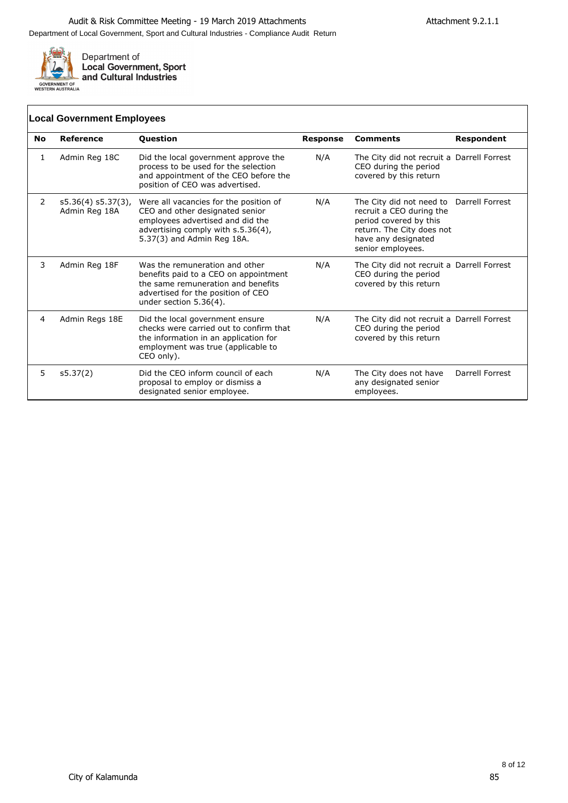

## **Local Government Employees**

| No | Reference                              | Question                                                                                                                                                                          | <b>Response</b> | <b>Comments</b>                                                                                                                                                         | <b>Respondent</b> |
|----|----------------------------------------|-----------------------------------------------------------------------------------------------------------------------------------------------------------------------------------|-----------------|-------------------------------------------------------------------------------------------------------------------------------------------------------------------------|-------------------|
| 1  | Admin Reg 18C                          | Did the local government approve the<br>process to be used for the selection<br>and appointment of the CEO before the<br>position of CEO was advertised.                          | N/A             | The City did not recruit a Darrell Forrest<br>CEO during the period<br>covered by this return                                                                           |                   |
| 2  | $s5.36(4) s5.37(3)$ ,<br>Admin Reg 18A | Were all vacancies for the position of<br>CEO and other designated senior<br>employees advertised and did the<br>advertising comply with s.5.36(4),<br>5.37(3) and Admin Reg 18A. | N/A             | The City did not need to Darrell Forrest<br>recruit a CEO during the<br>period covered by this<br>return. The City does not<br>have any designated<br>senior employees. |                   |
| 3  | Admin Reg 18F                          | Was the remuneration and other<br>benefits paid to a CEO on appointment<br>the same remuneration and benefits<br>advertised for the position of CEO<br>under section 5.36(4).     | N/A             | The City did not recruit a Darrell Forrest<br>CEO during the period<br>covered by this return                                                                           |                   |
| 4  | Admin Regs 18E                         | Did the local government ensure<br>checks were carried out to confirm that<br>the information in an application for<br>employment was true (applicable to<br>CEO only).           | N/A             | The City did not recruit a Darrell Forrest<br>CEO during the period<br>covered by this return                                                                           |                   |
| 5  | s5.37(2)                               | Did the CEO inform council of each<br>proposal to employ or dismiss a<br>designated senior employee.                                                                              | N/A             | The City does not have<br>any designated senior<br>employees.                                                                                                           | Darrell Forrest   |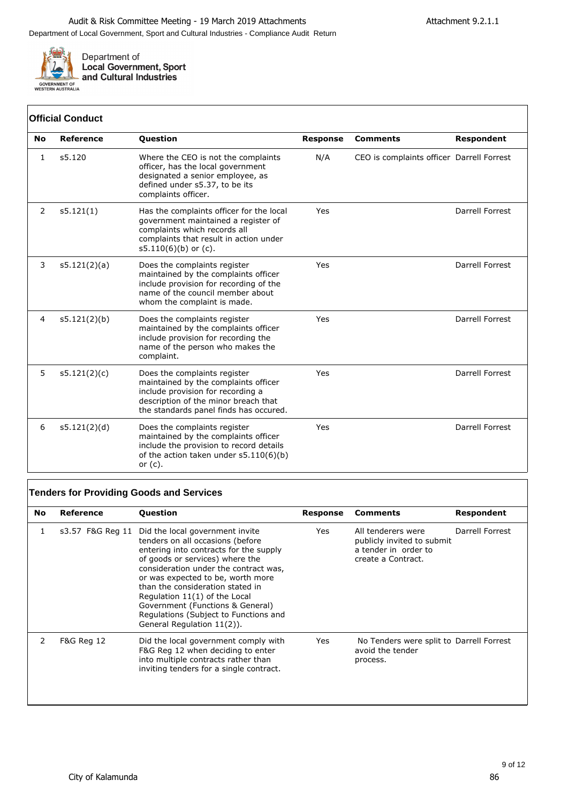

#### **No Reference Question Response Comments Respondent** 1 s5.120 Where the CEO is not the complaints officer, has the local government designated a senior employee, as defined under s5.37, to be its complaints officer. N/A CEO is complaints officer Darrell Forrest 2 s5.121(1) Has the complaints officer for the local government maintained a register of complaints which records all complaints that result in action under s5.110(6)(b) or (c). Yes Darrell Forrest 3 s5.121(2)(a) Does the complaints register maintained by the complaints officer include provision for recording of the name of the council member about whom the complaint is made. Yes Darrell Forrest 4 s5.121(2)(b) Does the complaints register maintained by the complaints officer include provision for recording the name of the person who makes the complaint. Yes Darrell Forrest 5 s5.121(2)(c) Does the complaints register maintained by the complaints officer include provision for recording a description of the minor breach that the standards panel finds has occured. Yes Darrell Forrest 6 s5.121(2)(d) Does the complaints register maintained by the complaints officer include the provision to record details of the action taken under s5.110(6)(b) or (c). Yes Darrell Forrest **Official Conduct**

#### **Tenders for Providing Goods and Services**

| No            | Reference             | <b>Question</b>                                                                                                                                                                                                                                                                                                                                                                                                | Response | <b>Comments</b>                                                                                | Respondent      |
|---------------|-----------------------|----------------------------------------------------------------------------------------------------------------------------------------------------------------------------------------------------------------------------------------------------------------------------------------------------------------------------------------------------------------------------------------------------------------|----------|------------------------------------------------------------------------------------------------|-----------------|
| 1             | s3.57 F&G Reg 11      | Did the local government invite<br>tenders on all occasions (before<br>entering into contracts for the supply<br>of goods or services) where the<br>consideration under the contract was,<br>or was expected to be, worth more<br>than the consideration stated in<br>Regulation 11(1) of the Local<br>Government (Functions & General)<br>Regulations (Subject to Functions and<br>General Regulation 11(2)). | Yes      | All tenderers were<br>publicly invited to submit<br>a tender in order to<br>create a Contract. | Darrell Forrest |
| $\mathcal{P}$ | <b>F&amp;G Reg 12</b> | Did the local government comply with<br>F&G Reg 12 when deciding to enter<br>into multiple contracts rather than<br>inviting tenders for a single contract.                                                                                                                                                                                                                                                    | Yes      | No Tenders were split to Darrell Forrest<br>avoid the tender<br>process.                       |                 |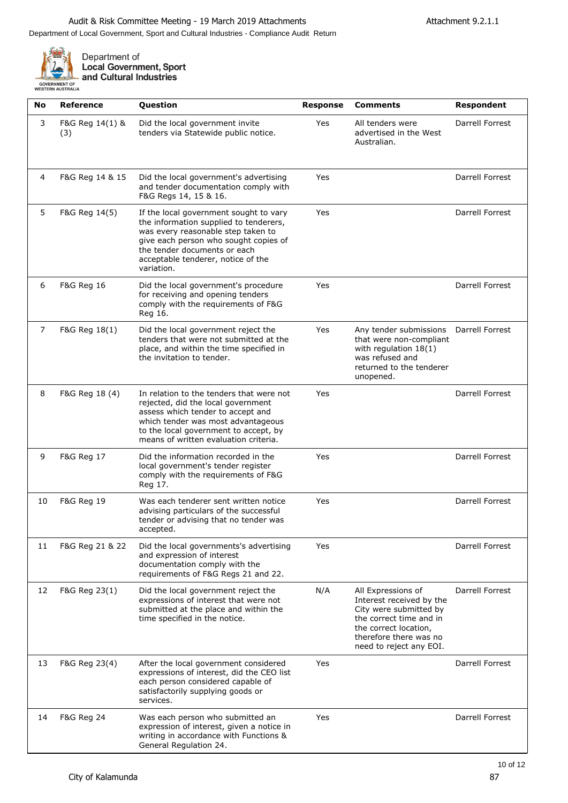٦



| No | <b>Reference</b>       | Question                                                                                                                                                                                                                                            | <b>Response</b> | <b>Comments</b>                                                                                                                                                                   | Respondent             |
|----|------------------------|-----------------------------------------------------------------------------------------------------------------------------------------------------------------------------------------------------------------------------------------------------|-----------------|-----------------------------------------------------------------------------------------------------------------------------------------------------------------------------------|------------------------|
| 3  | F&G Reg 14(1) &<br>(3) | Did the local government invite<br>tenders via Statewide public notice.                                                                                                                                                                             | Yes             | All tenders were<br>advertised in the West<br>Australian.                                                                                                                         | Darrell Forrest        |
| 4  | F&G Reg 14 & 15        | Did the local government's advertising<br>and tender documentation comply with<br>F&G Regs 14, 15 & 16.                                                                                                                                             | Yes             |                                                                                                                                                                                   | <b>Darrell Forrest</b> |
| 5  | F&G Reg 14(5)          | If the local government sought to vary<br>the information supplied to tenderers,<br>was every reasonable step taken to<br>give each person who sought copies of<br>the tender documents or each<br>acceptable tenderer, notice of the<br>variation. | Yes             |                                                                                                                                                                                   | Darrell Forrest        |
| 6  | <b>F&amp;G Reg 16</b>  | Did the local government's procedure<br>for receiving and opening tenders<br>comply with the requirements of F&G<br>Reg 16.                                                                                                                         | Yes             |                                                                                                                                                                                   | Darrell Forrest        |
| 7  | F&G Reg 18(1)          | Did the local government reject the<br>tenders that were not submitted at the<br>place, and within the time specified in<br>the invitation to tender.                                                                                               | Yes             | Any tender submissions<br>that were non-compliant<br>with regulation $18(1)$<br>was refused and<br>returned to the tenderer<br>unopened.                                          | <b>Darrell Forrest</b> |
| 8  | F&G Reg 18 (4)         | In relation to the tenders that were not<br>rejected, did the local government<br>assess which tender to accept and<br>which tender was most advantageous<br>to the local government to accept, by<br>means of written evaluation criteria.         | Yes             |                                                                                                                                                                                   | <b>Darrell Forrest</b> |
| 9  | F&G Reg 17             | Did the information recorded in the<br>local government's tender register<br>comply with the requirements of F&G<br>Reg 17.                                                                                                                         | Yes             |                                                                                                                                                                                   | Darrell Forrest        |
| 10 | F&G Reg 19             | Was each tenderer sent written notice<br>advising particulars of the successful<br>tender or advising that no tender was<br>accepted.                                                                                                               | Yes             |                                                                                                                                                                                   | Darrell Forrest        |
| 11 | F&G Reg 21 & 22        | Did the local governments's advertising<br>and expression of interest<br>documentation comply with the<br>requirements of F&G Regs 21 and 22.                                                                                                       | Yes             |                                                                                                                                                                                   | Darrell Forrest        |
| 12 | F&G Reg 23(1)          | Did the local government reject the<br>expressions of interest that were not<br>submitted at the place and within the<br>time specified in the notice.                                                                                              | N/A             | All Expressions of<br>Interest received by the<br>City were submitted by<br>the correct time and in<br>the correct location,<br>therefore there was no<br>need to reject any EOI. | Darrell Forrest        |
| 13 | F&G Reg 23(4)          | After the local government considered<br>expressions of interest, did the CEO list<br>each person considered capable of<br>satisfactorily supplying goods or<br>services.                                                                           | Yes             |                                                                                                                                                                                   | <b>Darrell Forrest</b> |
| 14 | <b>F&amp;G Reg 24</b>  | Was each person who submitted an<br>expression of interest, given a notice in<br>writing in accordance with Functions &<br>General Regulation 24.                                                                                                   | Yes             |                                                                                                                                                                                   | Darrell Forrest        |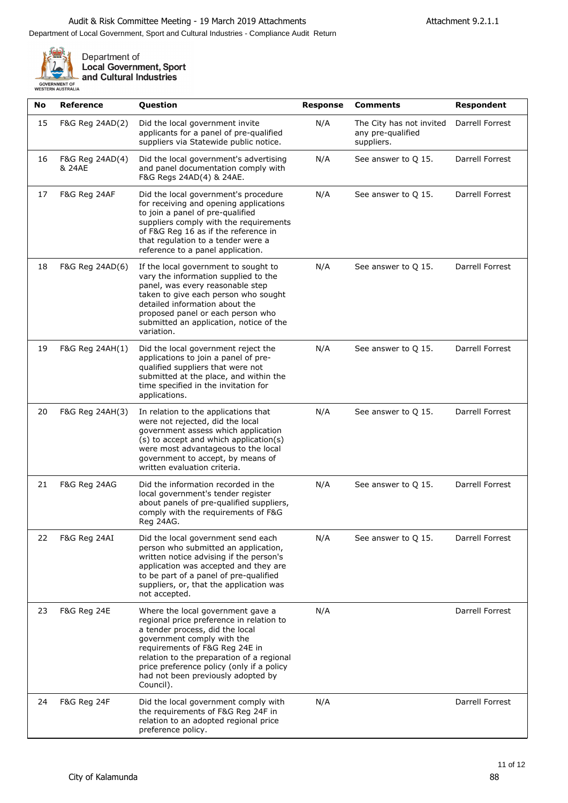

| No | <b>Reference</b>          | Question                                                                                                                                                                                                                                                                                                                      | <b>Response</b> | <b>Comments</b>                                             | Respondent             |
|----|---------------------------|-------------------------------------------------------------------------------------------------------------------------------------------------------------------------------------------------------------------------------------------------------------------------------------------------------------------------------|-----------------|-------------------------------------------------------------|------------------------|
| 15 | F&G Reg 24AD(2)           | Did the local government invite<br>applicants for a panel of pre-qualified<br>suppliers via Statewide public notice.                                                                                                                                                                                                          | N/A             | The City has not invited<br>any pre-qualified<br>suppliers. | Darrell Forrest        |
| 16 | F&G Reg 24AD(4)<br>& 24AE | Did the local government's advertising<br>and panel documentation comply with<br>F&G Regs 24AD(4) & 24AE.                                                                                                                                                                                                                     | N/A             | See answer to Q 15.                                         | <b>Darrell Forrest</b> |
| 17 | F&G Reg 24AF              | Did the local government's procedure<br>for receiving and opening applications<br>to join a panel of pre-qualified<br>suppliers comply with the requirements<br>of F&G Reg 16 as if the reference in<br>that regulation to a tender were a<br>reference to a panel application.                                               | N/A             | See answer to Q 15.                                         | Darrell Forrest        |
| 18 | F&G Reg 24AD(6)           | If the local government to sought to<br>vary the information supplied to the<br>panel, was every reasonable step<br>taken to give each person who sought<br>detailed information about the<br>proposed panel or each person who<br>submitted an application, notice of the<br>variation.                                      | N/A             | See answer to Q 15.                                         | Darrell Forrest        |
| 19 | F&G Reg 24AH(1)           | Did the local government reject the<br>applications to join a panel of pre-<br>qualified suppliers that were not<br>submitted at the place, and within the<br>time specified in the invitation for<br>applications.                                                                                                           | N/A             | See answer to Q 15.                                         | Darrell Forrest        |
| 20 | F&G Reg 24AH(3)           | In relation to the applications that<br>were not rejected, did the local<br>government assess which application<br>(s) to accept and which application(s)<br>were most advantageous to the local<br>government to accept, by means of<br>written evaluation criteria.                                                         | N/A             | See answer to Q 15.                                         | Darrell Forrest        |
| 21 | F&G Reg 24AG              | Did the information recorded in the<br>local government's tender register<br>about panels of pre-qualified suppliers,<br>comply with the requirements of F&G<br>Reg 24AG.                                                                                                                                                     | N/A             | See answer to Q 15.                                         | <b>Darrell Forrest</b> |
| 22 | F&G Reg 24AI              | Did the local government send each<br>person who submitted an application,<br>written notice advising if the person's<br>application was accepted and they are<br>to be part of a panel of pre-qualified<br>suppliers, or, that the application was<br>not accepted.                                                          | N/A             | See answer to Q 15.                                         | Darrell Forrest        |
| 23 | F&G Reg 24E               | Where the local government gave a<br>regional price preference in relation to<br>a tender process, did the local<br>government comply with the<br>requirements of F&G Reg 24E in<br>relation to the preparation of a regional<br>price preference policy (only if a policy<br>had not been previously adopted by<br>Council). | N/A             |                                                             | Darrell Forrest        |
| 24 | <b>F&amp;G Reg 24F</b>    | Did the local government comply with<br>the requirements of F&G Reg 24F in<br>relation to an adopted regional price<br>preference policy.                                                                                                                                                                                     | N/A             |                                                             | Darrell Forrest        |